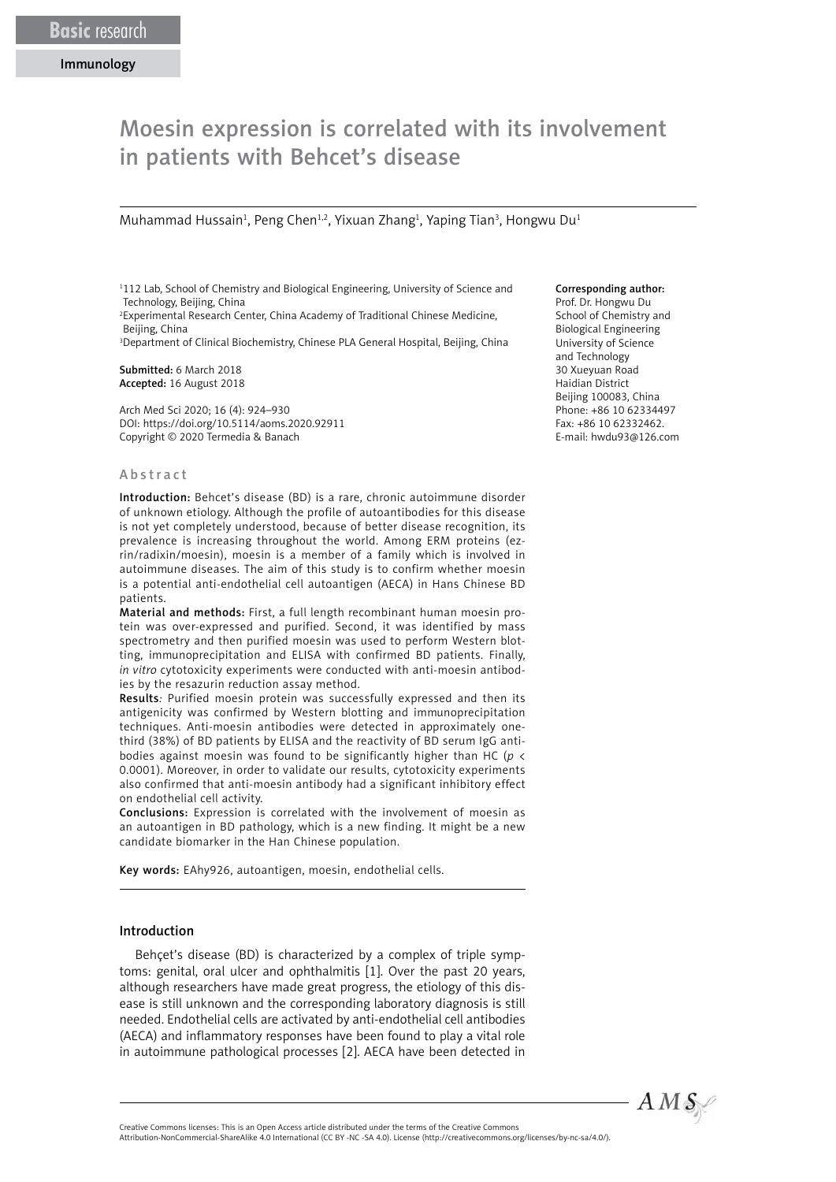# Moesin expression is correlated with its involvement in patients with Behcet's disease

Muhammad Hussain<sup>1</sup>, Peng Chen<sup>1,2</sup>, Yixuan Zhang<sup>1</sup>, Yaping Tian<sup>3</sup>, Hongwu Du<sup>1</sup>

<sup>1</sup>112 Lab, School of Chemistry and Biological Engineering, University of Science and Technology, Beijing, China

2 Experimental Research Center, China Academy of Traditional Chinese Medicine, Beijing, China

3 Department of Clinical Biochemistry, Chinese PLA General Hospital, Beijing, China

Submitted: 6 March 2018 Accepted: 16 August 2018

Arch Med Sci 2020; 16 (4): 924–930 DOI: https://doi.org/10.5114/aoms.2020.92911 Copyright © 2020 Termedia & Banach

#### Abstract

Introduction: Behcet's disease (BD) is a rare, chronic autoimmune disorder of unknown etiology. Although the profile of autoantibodies for this disease is not yet completely understood, because of better disease recognition, its prevalence is increasing throughout the world. Among ERM proteins (ezrin/radixin/moesin), moesin is a member of a family which is involved in autoimmune diseases. The aim of this study is to confirm whether moesin is a potential anti-endothelial cell autoantigen (AECA) in Hans Chinese BD patients.

Material and methods: First, a full length recombinant human moesin protein was over-expressed and purified. Second, it was identified by mass spectrometry and then purified moesin was used to perform Western blotting, immunoprecipitation and ELISA with confirmed BD patients. Finally, *in vitro* cytotoxicity experiments were conducted with anti-moesin antibodies by the resazurin reduction assay method.

Results*:* Purified moesin protein was successfully expressed and then its antigenicity was confirmed by Western blotting and immunoprecipitation techniques. Anti-moesin antibodies were detected in approximately onethird (38%) of BD patients by ELISA and the reactivity of BD serum IgG antibodies against moesin was found to be significantly higher than HC (*p* < 0.0001). Moreover, in order to validate our results, cytotoxicity experiments also confirmed that anti-moesin antibody had a significant inhibitory effect on endothelial cell activity.

Conclusions: Expression is correlated with the involvement of moesin as an autoantigen in BD pathology, which is a new finding. It might be a new candidate biomarker in the Han Chinese population.

Key words: EAhy926, autoantigen, moesin, endothelial cells.

#### Introduction

Behçet's disease (BD) is characterized by a complex of triple symptoms: genital, oral ulcer and ophthalmitis [1]. Over the past 20 years, although researchers have made great progress, the etiology of this disease is still unknown and the corresponding laboratory diagnosis is still needed. Endothelial cells are activated by anti-endothelial cell antibodies (AECA) and inflammatory responses have been found to play a vital role in autoimmune pathological processes [2]. AECA have been detected in

### Corresponding author:

Prof. Dr. Hongwu Du School of Chemistry and Biological Engineering University of Science and Technology 30 Xueyuan Road Haidian District Beijing 100083, China Phone: +86 10 62334497 Fax: +86 10 62332462. E-mail: hwdu93@126.com



Attribution-NonCommercial-ShareAlike 4.0 International (CC BY -NC -SA 4.0). License (http://creativecommons.org/licenses/by-nc-sa/4.0/).

Creative Commons licenses: This is an Open Access article distributed under the terms of the Creative Commons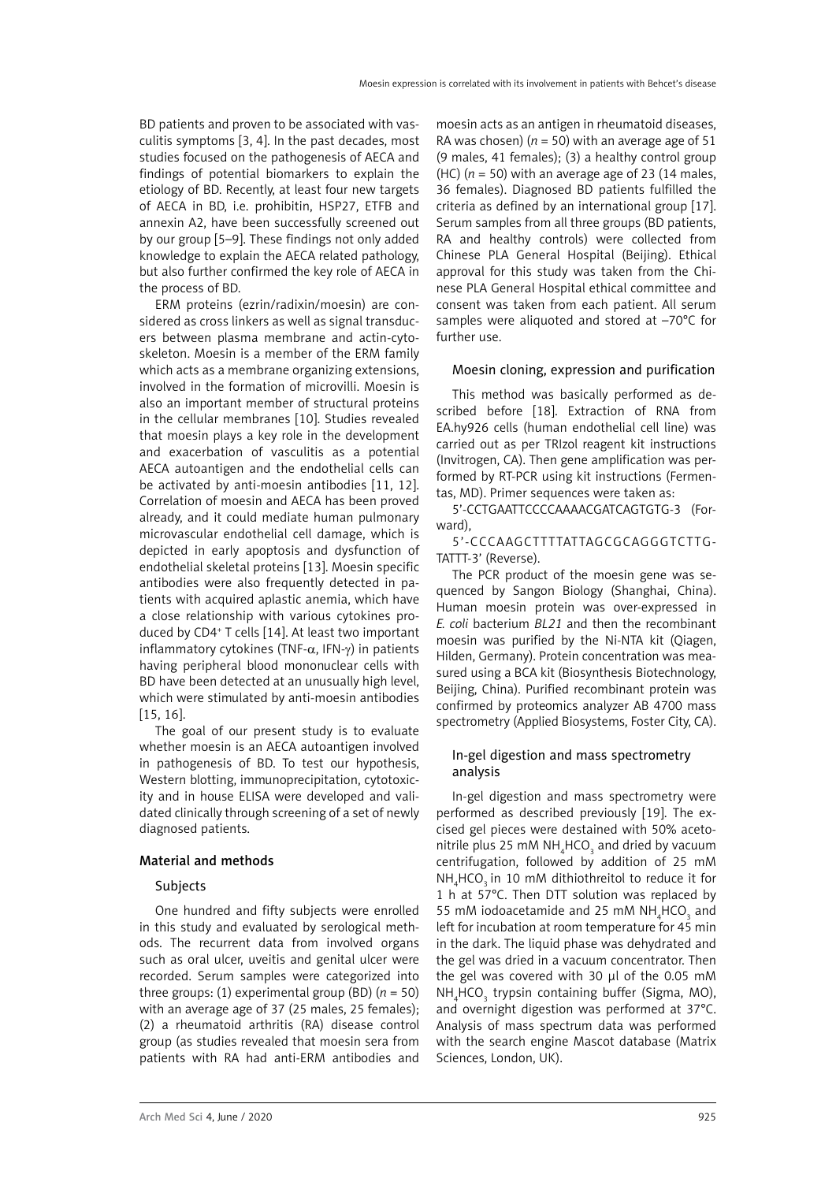BD patients and proven to be associated with vasculitis symptoms [3, 4]. In the past decades, most studies focused on the pathogenesis of AECA and findings of potential biomarkers to explain the etiology of BD. Recently, at least four new targets of AECA in BD, i.e. prohibitin, HSP27, ETFB and annexin A2, have been successfully screened out by our group [5–9]. These findings not only added knowledge to explain the AECA related pathology, but also further confirmed the key role of AECA in the process of BD.

ERM proteins (ezrin/radixin/moesin) are considered as cross linkers as well as signal transducers between plasma membrane and actin-cytoskeleton. Moesin is a member of the ERM family which acts as a membrane organizing extensions, involved in the formation of microvilli. Moesin is also an important member of structural proteins in the cellular membranes [10]. Studies revealed that moesin plays a key role in the development and exacerbation of vasculitis as a potential AECA autoantigen and the endothelial cells can be activated by anti-moesin antibodies [11, 12]. Correlation of moesin and AECA has been proved already, and it could mediate human pulmonary microvascular endothelial cell damage, which is depicted in early apoptosis and dysfunction of endothelial skeletal proteins [13]. Moesin specific antibodies were also frequently detected in patients with acquired aplastic anemia, which have a close relationship with various cytokines produced by CD4+ T cells [14]. At least two important inflammatory cytokines (TNF- $\alpha$ , IFN-γ) in patients having peripheral blood mononuclear cells with BD have been detected at an unusually high level, which were stimulated by anti-moesin antibodies [15, 16].

The goal of our present study is to evaluate whether moesin is an AECA autoantigen involved in pathogenesis of BD. To test our hypothesis, Western blotting, immunoprecipitation, cytotoxicity and in house ELISA were developed and validated clinically through screening of a set of newly diagnosed patients.

#### Material and methods

#### Subjects

One hundred and fifty subjects were enrolled in this study and evaluated by serological methods. The recurrent data from involved organs such as oral ulcer, uveitis and genital ulcer were recorded. Serum samples were categorized into three groups: (1) experimental group (BD)  $(n = 50)$ with an average age of 37 (25 males, 25 females); (2) a rheumatoid arthritis (RA) disease control group (as studies revealed that moesin sera from patients with RA had anti-ERM antibodies and

moesin acts as an antigen in rheumatoid diseases, RA was chosen) ( $n = 50$ ) with an average age of 51 (9 males, 41 females); (3) a healthy control group (HC)  $(n = 50)$  with an average age of 23 (14 males, 36 females). Diagnosed BD patients fulfilled the criteria as defined by an international group [17]. Serum samples from all three groups (BD patients, RA and healthy controls) were collected from Chinese PLA General Hospital (Beijing). Ethical approval for this study was taken from the Chinese PLA General Hospital ethical committee and consent was taken from each patient. All serum samples were aliquoted and stored at –70°C for further use.

## Moesin cloning, expression and purification

This method was basically performed as described before [18]. Extraction of RNA from EA.hy926 cells (human endothelial cell line) was carried out as per TRIzol reagent kit instructions (Invitrogen, CA). Then gene amplification was performed by RT-PCR using kit instructions (Fermentas, MD). Primer sequences were taken as:

5'-CCTGAATTCCCCAAAACGATCAGTGTG-3 (Forward),

5'-CCCAAGCTTTTATTAGCGCAGGGTCTTG-TATTT-3' (Reverse).

The PCR product of the moesin gene was sequenced by Sangon Biology (Shanghai, China). Human moesin protein was over-expressed in *E. coli* bacterium *BL21* and then the recombinant moesin was purified by the Ni-NTA kit (Qiagen, Hilden, Germany). Protein concentration was measured using a BCA kit (Biosynthesis Biotechnology, Beijing, China). Purified recombinant protein was confirmed by proteomics analyzer AB 4700 mass spectrometry (Applied Biosystems, Foster City, CA).

## In-gel digestion and mass spectrometry analysis

In-gel digestion and mass spectrometry were performed as described previously [19]. The excised gel pieces were destained with 50% acetonitrile plus 25 mM  $NH_4HCO_3$  and dried by vacuum centrifugation, followed by addition of 25 mM  $NH_{4}$ HCO<sub>3</sub> in 10 mM dithiothreitol to reduce it for 1 h at 57°C. Then DTT solution was replaced by 55 mM iodoacetamide and 25 mM  $NH_4HCO_3$  and left for incubation at room temperature for 45 min in the dark. The liquid phase was dehydrated and the gel was dried in a vacuum concentrator. Then the gel was covered with 30 μl of the 0.05 mM NH<sub>4</sub>HCO<sub>3</sub> trypsin containing buffer (Sigma, MO), and overnight digestion was performed at 37°C. Analysis of mass spectrum data was performed with the search engine Mascot database (Matrix Sciences, London, UK).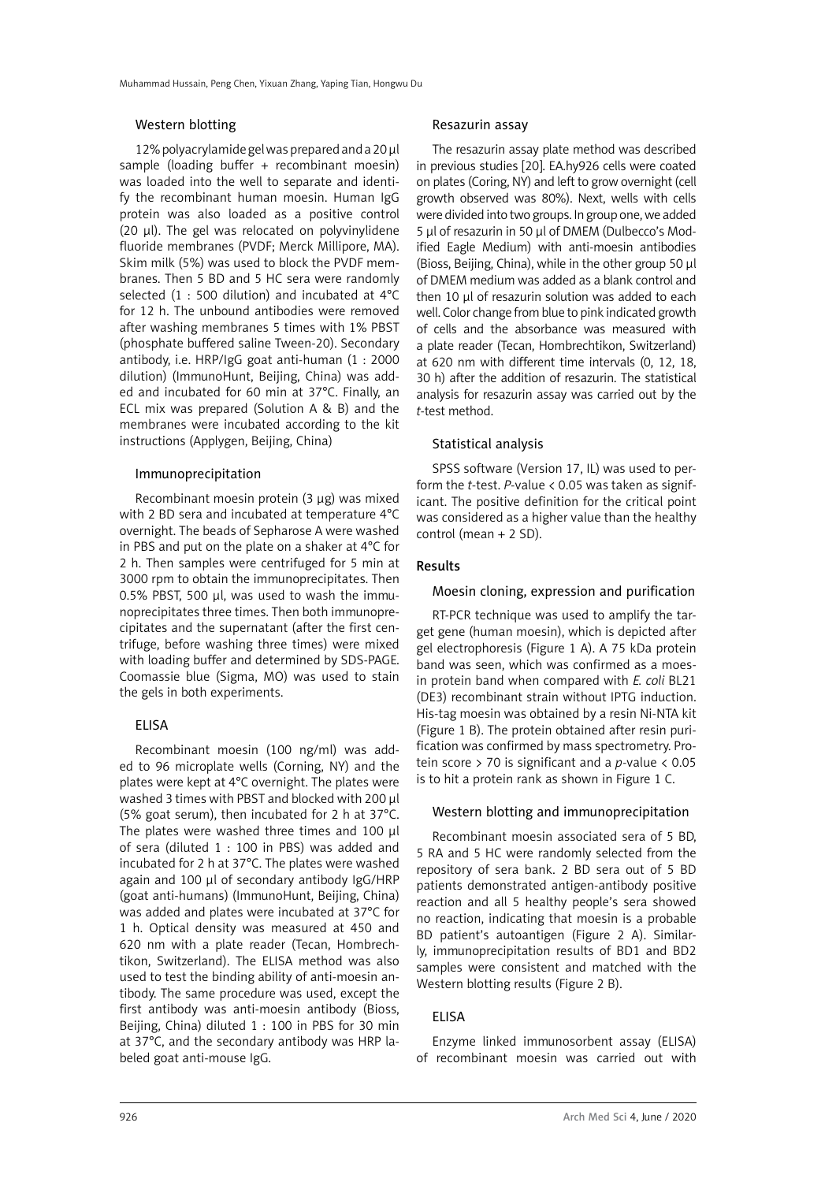### Western blotting

12% polyacrylamide gel was prepared and a 20 μl sample (loading buffer + recombinant moesin) was loaded into the well to separate and identify the recombinant human moesin. Human IgG protein was also loaded as a positive control (20 μl). The gel was relocated on polyvinylidene fluoride membranes (PVDF; Merck Millipore, MA). Skim milk (5%) was used to block the PVDF membranes. Then 5 BD and 5 HC sera were randomly selected (1 : 500 dilution) and incubated at 4°C for 12 h. The unbound antibodies were removed after washing membranes 5 times with 1% PBST (phosphate buffered saline Tween-20). Secondary antibody, i.e. HRP/IgG goat anti-human (1 : 2000 dilution) (ImmunoHunt, Beijing, China) was added and incubated for 60 min at 37°C. Finally, an ECL mix was prepared (Solution A & B) and the membranes were incubated according to the kit instructions (Applygen, Beijing, China)

## Immunoprecipitation

Recombinant moesin protein (3 μg) was mixed with 2 BD sera and incubated at temperature 4°C overnight. The beads of Sepharose A were washed in PBS and put on the plate on a shaker at 4°C for 2 h. Then samples were centrifuged for 5 min at 3000 rpm to obtain the immunoprecipitates. Then 0.5% PBST, 500 μl, was used to wash the immunoprecipitates three times. Then both immunoprecipitates and the supernatant (after the first centrifuge, before washing three times) were mixed with loading buffer and determined by SDS-PAGE. Coomassie blue (Sigma, MO) was used to stain the gels in both experiments.

## ELISA

Recombinant moesin (100 ng/ml) was added to 96 microplate wells (Corning, NY) and the plates were kept at 4°C overnight. The plates were washed 3 times with PBST and blocked with 200 µl (5% goat serum), then incubated for 2 h at 37°C. The plates were washed three times and 100 µl of sera (diluted 1 : 100 in PBS) was added and incubated for 2 h at 37°C. The plates were washed again and 100 µl of secondary antibody IgG/HRP (goat anti-humans) (ImmunoHunt, Beijing, China) was added and plates were incubated at 37°C for 1 h. Optical density was measured at 450 and 620 nm with a plate reader (Tecan, Hombrechtikon, Switzerland). The ELISA method was also used to test the binding ability of anti-moesin antibody. The same procedure was used, except the first antibody was anti-moesin antibody (Bioss, Beijing, China) diluted 1 : 100 in PBS for 30 min at 37°C, and the secondary antibody was HRP labeled goat anti-mouse IgG.

#### Resazurin assay

The resazurin assay plate method was described in previous studies [20]. EA.hy926 cells were coated on plates (Coring, NY) and left to grow overnight (cell growth observed was 80%). Next, wells with cells were divided into two groups. In group one, we added 5 µl of resazurin in 50 μl of DMEM (Dulbecco's Modified Eagle Medium) with anti-moesin antibodies (Bioss, Beijing, China), while in the other group 50 μl of DMEM medium was added as a blank control and then 10 µl of resazurin solution was added to each well. Color change from blue to pink indicated growth of cells and the absorbance was measured with a plate reader (Tecan, Hombrechtikon, Switzerland) at 620 nm with different time intervals (0, 12, 18, 30 h) after the addition of resazurin. The statistical analysis for resazurin assay was carried out by the *t*-test method.

## Statistical analysis

SPSS software (Version 17, IL) was used to perform the *t*-test. *P*-value < 0.05 was taken as significant. The positive definition for the critical point was considered as a higher value than the healthy control (mean + 2 SD).

#### Results

## Moesin cloning, expression and purification

RT-PCR technique was used to amplify the target gene (human moesin), which is depicted after gel electrophoresis (Figure 1 A). A 75 kDa protein band was seen, which was confirmed as a moesin protein band when compared with *E. coli* BL21 (DE3) recombinant strain without IPTG induction. His-tag moesin was obtained by a resin Ni-NTA kit (Figure 1 B). The protein obtained after resin purification was confirmed by mass spectrometry. Protein score > 70 is significant and a *p*-value < 0.05 is to hit a protein rank as shown in Figure 1 C.

## Western blotting and immunoprecipitation

Recombinant moesin associated sera of 5 BD, 5 RA and 5 HC were randomly selected from the repository of sera bank. 2 BD sera out of 5 BD patients demonstrated antigen-antibody positive reaction and all 5 healthy people's sera showed no reaction, indicating that moesin is a probable BD patient's autoantigen (Figure 2 A). Similarly, immunoprecipitation results of BD1 and BD2 samples were consistent and matched with the Western blotting results (Figure 2 B).

## ELISA

Enzyme linked immunosorbent assay (ELISA) of recombinant moesin was carried out with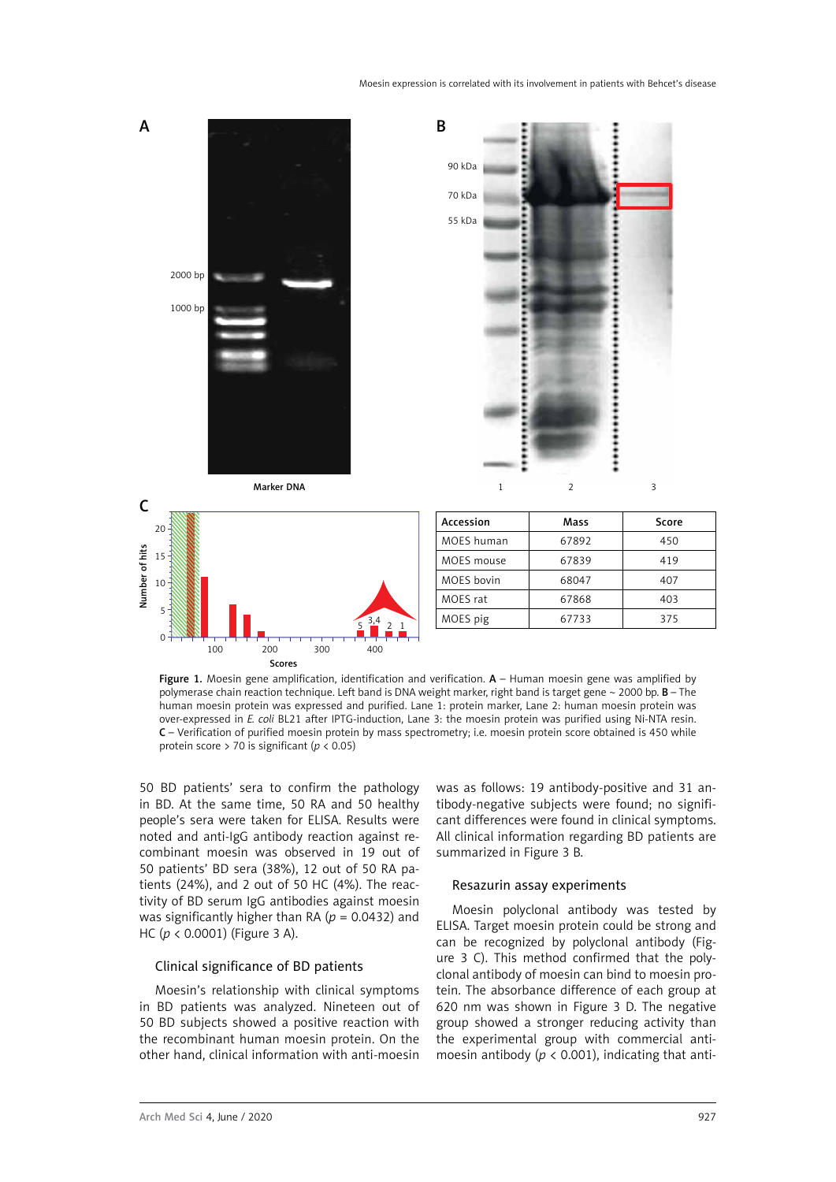

Scores Figure 1. Moesin gene amplification, identification and verification. A - Human moesin gene was amplified by polymerase chain reaction technique. Left band is DNA weight marker, right band is target gene  $\sim$  2000 bp. **B** – The human moesin protein was expressed and purified. Lane 1: protein marker, Lane 2: human moesin protein was over-expressed in *E. coli* BL21 after IPTG-induction, Lane 3: the moesin protein was purified using Ni-NTA resin. C – Verification of purified moesin protein by mass spectrometry; i.e. moesin protein score obtained is 450 while protein score > 70 is significant (*p* < 0.05)

 $5^{3,4}$  2 1

50 BD patients' sera to confirm the pathology in BD. At the same time, 50 RA and 50 healthy people's sera were taken for ELISA. Results were noted and anti-IgG antibody reaction against recombinant moesin was observed in 19 out of 50 patients' BD sera (38%), 12 out of 50 RA patients (24%), and 2 out of 50 HC (4%). The reactivity of BD serum IgG antibodies against moesin was significantly higher than RA (*p* = 0.0432) and HC (*p* < 0.0001) (Figure 3 A).

100 200 300 400

 $\Omega$ 

# Clinical significance of BD patients

Moesin's relationship with clinical symptoms in BD patients was analyzed. Nineteen out of 50 BD subjects showed a positive reaction with the recombinant human moesin protein. On the other hand, clinical information with anti-moesin was as follows: 19 antibody-positive and 31 antibody-negative subjects were found; no significant differences were found in clinical symptoms. All clinical information regarding BD patients are summarized in Figure 3 B.

MOES pig | 67733 | 375

## Resazurin assay experiments

Moesin polyclonal antibody was tested by ELISA. Target moesin protein could be strong and can be recognized by polyclonal antibody (Figure 3 C). This method confirmed that the polyclonal antibody of moesin can bind to moesin protein. The absorbance difference of each group at 620 nm was shown in Figure 3 D. The negative group showed a stronger reducing activity than the experimental group with commercial antimoesin antibody ( $p < 0.001$ ), indicating that anti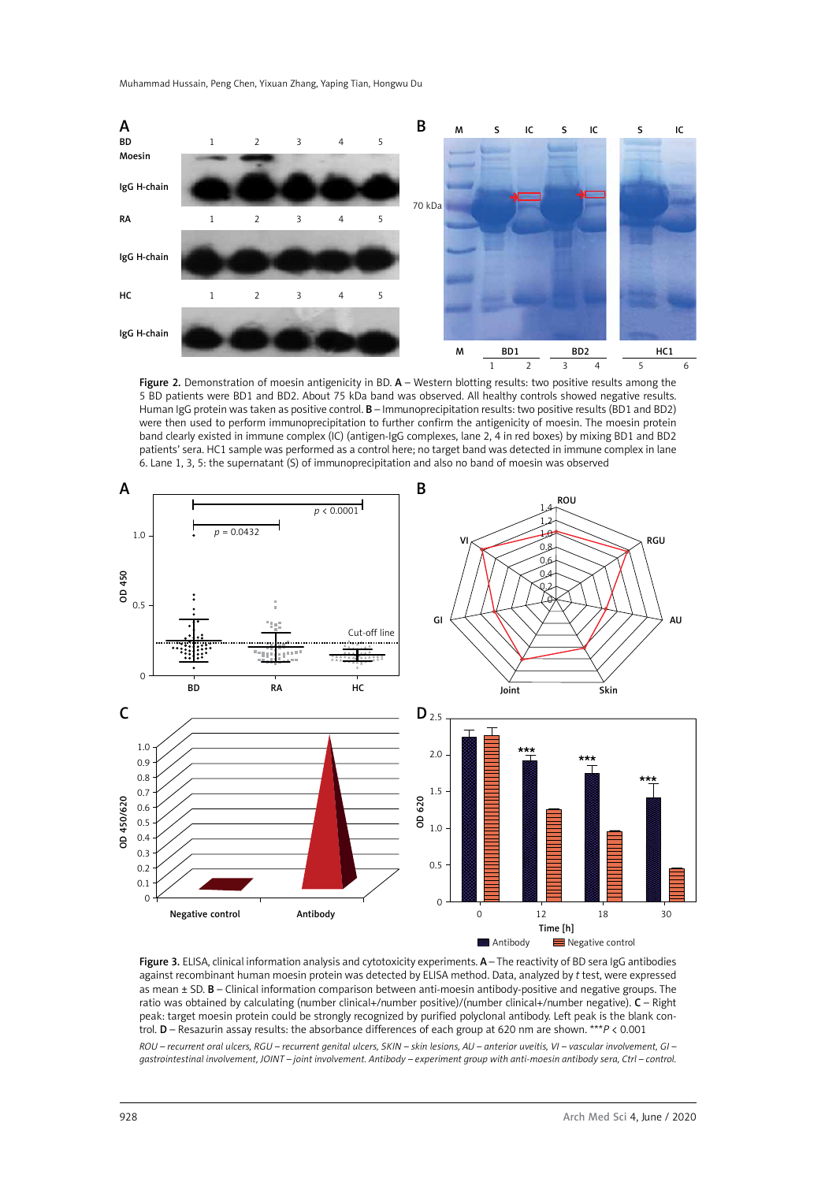Muhammad Hussain, Peng Chen, Yixuan Zhang, Yaping Tian, Hongwu Du



Figure 2. Demonstration of moesin antigenicity in BD. A - Western blotting results: two positive results among the 5 BD patients were BD1 and BD2. About 75 kDa band was observed. All healthy controls showed negative results. Human IgG protein was taken as positive control. B – Immunoprecipitation results: two positive results (BD1 and BD2) were then used to perform [immunoprecipitation](file:///D:/Prace/AMS%20manuscript%20accepted/tekst/2020/javascript:void(0);) to further confirm the antigenicity of moesin. The moesin protein band clearly existed in immune complex (IC) (antigen-IgG complexes, lane 2, 4 in red boxes) by mixing BD1 and BD2 patients' sera. HC1 sample was performed as a control here; no target band was detected in immune complex in lane 6. Lane 1, 3, 5: the supernatant (S) of immunoprecipitation and also no band of moesin was observed



Figure 3. ELISA, clinical information analysis and cytotoxicity experiments. A - The reactivity of BD sera IgG antibodies against recombinant human moesin protein was detected by ELISA method. Data, analyzed by *t* test, were expressed as mean ± SD. B – Clinical information comparison between anti-moesin antibody-positive and negative groups. The ratio was obtained by calculating (number clinical+/number positive)/(number clinical+/number negative). C – Right peak: target moesin protein could be strongly recognized by purified polyclonal antibody. Left peak is the blank control. D – Resazurin assay results: the absorbance differences of each group at 620 nm are shown. \*\*\**P* < 0.001

*ROU – recurrent oral ulcers, RGU – recurrent genital ulcers, SKIN – skin lesions, AU – anterior uveitis, VI – vascular involvement, GI – gastrointestinal involvement, JOINT – joint involvement. Antibody – experiment group with anti-moesin antibody sera, Ctrl – control.*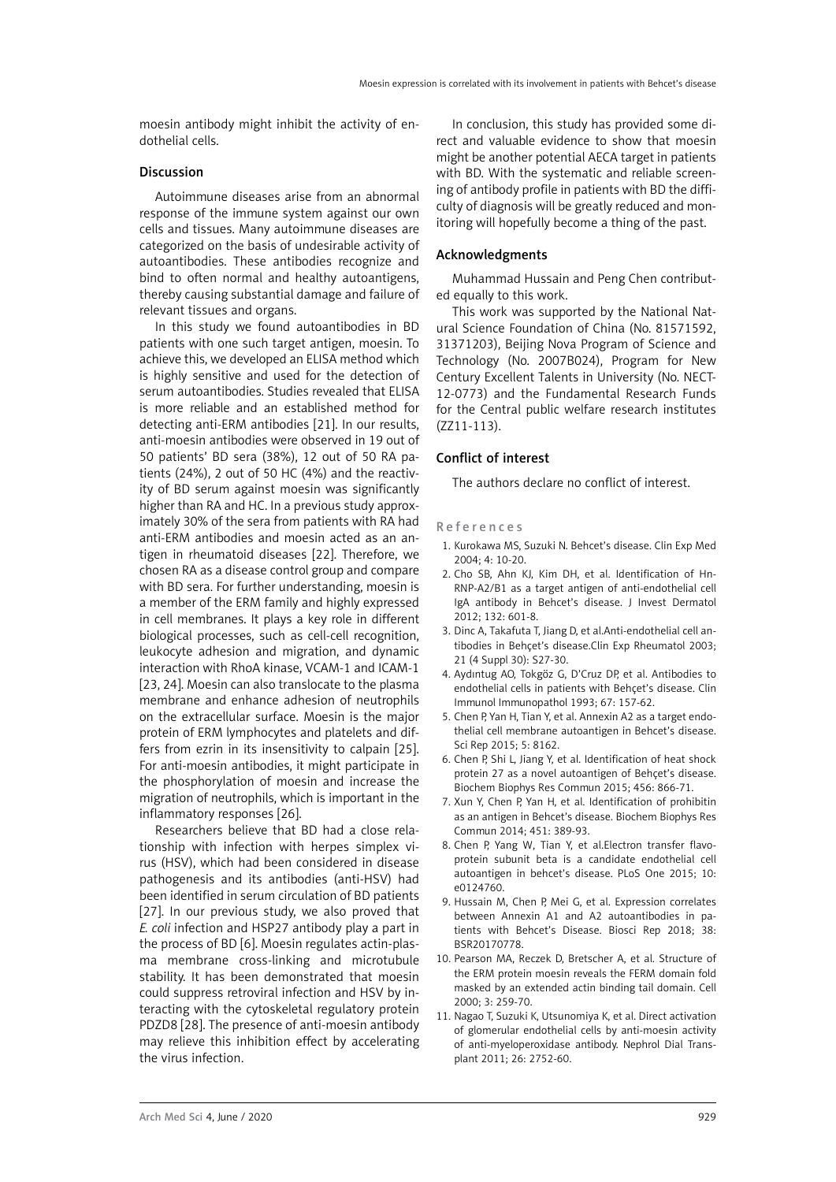moesin antibody might inhibit the activity of endothelial cells.

#### Discussion

Autoimmune diseases arise from an abnormal response of the immune system against our own cells and tissues. Many autoimmune diseases are categorized on the basis of undesirable activity of autoantibodies. These antibodies recognize and bind to often normal and healthy autoantigens, thereby causing substantial damage and failure of relevant tissues and organs.

In this study we found autoantibodies in BD patients with one such target antigen, moesin. To achieve this, we developed an ELISA method which is highly sensitive and used for the detection of serum autoantibodies. Studies revealed that ELISA is more reliable and an established method for detecting anti-ERM antibodies [21]. In our results, anti-moesin antibodies were observed in 19 out of 50 patients' BD sera (38%), 12 out of 50 RA patients (24%), 2 out of 50 HC (4%) and the reactivity of BD serum against moesin was significantly higher than RA and HC. In a previous study approximately 30% of the sera from patients with RA had anti-ERM antibodies and moesin acted as an antigen in rheumatoid diseases [22]. Therefore, we chosen RA as a disease control group and compare with BD sera. For further understanding, moesin is a member of the ERM family and highly expressed in cell membranes. It plays a key role in different biological processes, such as cell-cell recognition, leukocyte adhesion and migration, and [dynamic](http://www.ncbi.nlm.nih.gov/pubmed/12082081)  [interaction with RhoA kinase, VCAM-1 and ICAM-1](http://www.ncbi.nlm.nih.gov/pubmed/12082081)  [23, 24]. Moesin can also translocate to the plasma membrane and enhance adhesion of neutrophils on the extracellular surface. Moesin is the major protein of ERM lymphocytes and platelets and differs from ezrin in its insensitivity to calpain [25]. For anti-moesin antibodies, it might participate in the phosphorylation of moesin and increase the migration of neutrophils, which is important in the inflammatory responses [26].

Researchers believe that BD had a close relationship with infection with herpes simplex virus (HSV), which had been considered in disease pathogenesis and its antibodies (anti-HSV) had been identified in serum circulation of BD patients [27]. In our previous study, we also proved that *E. coli* infection and HSP27 antibody play a part in the process of BD [6]. Moesin regulates actin-plasma membrane cross-linking and microtubule stability. It has been demonstrated that moesin could suppress retroviral infection and HSV by interacting with the cytoskeletal regulatory protein PDZD8 [28]. The presence of anti-moesin antibody may relieve this inhibition effect by accelerating the virus infection.

In conclusion, this study has provided some direct and valuable evidence to show that moesin might be another potential AECA target in patients with BD. With the systematic and reliable screening of antibody profile in patients with BD the difficulty of diagnosis will be greatly reduced and monitoring will hopefully become a thing of the past.

## Acknowledgments

Muhammad Hussain and Peng Chen contributed equally to this work.

This work was supported by the National Natural Science Foundation of China (No. 81571592, 31371203), Beijing Nova Program of Science and Technology (No. 2007B024), Program for New Century Excellent Talents in University (No. NECT-12-0773) and the Fundamental Research Funds for the Central public welfare research institutes (ZZ11-113).

## Conflict of interest

The authors declare no conflict of interest.

#### References

- 1. Kurokawa MS, Suzuki N. Behcet's disease. Clin Exp Med 2004; 4: 10-20.
- 2. Cho SB, Ahn KJ, Kim DH, et al. Identification of Hn-RNP-A2/B1 as a target antigen of anti-endothelial cell IgA antibody in Behcet's disease. J Invest Dermatol 2012; 132: 601-8.
- 3. Dinc A, Takafuta T, Jiang D, et al.Anti-endothelial cell antibodies in Behçet's disease.Clin Exp Rheumatol 2003; 21 (4 Suppl 30): S27-30.
- 4. Aydıntug AO, Tokgöz G, D'Cruz DP, et al. Antibodies to endothelial cells in patients with Behçet's disease. Clin Immunol Immunopathol 1993; 67: 157-62.
- 5. Chen P, Yan H, Tian Y, et al. Annexin A2 as a target endothelial cell membrane autoantigen in Behcet's disease. Sci Rep 2015; 5: 8162.
- 6. Chen P, Shi L, Jiang Y, et al. Identification of heat shock protein 27 as a novel autoantigen of Behçet's disease. Biochem Biophys Res Commun 2015; 456: 866-71.
- 7. Xun Y, Chen P, Yan H, et al. Identification of prohibitin as an antigen in Behcet's disease. Biochem Biophys Res Commun 2014; 451: 389-93.
- 8. Chen P, Yang W, Tian Y, et al. Electron transfer flavoprotein subunit beta is a candidate endothelial cell autoantigen in behcet's disease. PLoS One 2015; 10: e0124760.
- 9. Hussain M, Chen P, Mei G, et al. Expression correlates between Annexin A1 and A2 autoantibodies in patients with Behcet's Disease. Biosci Rep 2018; 38: BSR20170778.
- 10. Pearson MA, Reczek D, Bretscher A, et al. Structure of the ERM protein moesin reveals the FERM domain fold masked by an extended actin binding tail domain. Cell 2000; 3: 259-70.
- 11. Nagao T, Suzuki K, Utsunomiya K, et al. Direct activation of glomerular endothelial cells by anti-moesin activity of anti-myeloperoxidase antibody. Nephrol Dial Transplant 2011; 26: 2752-60.